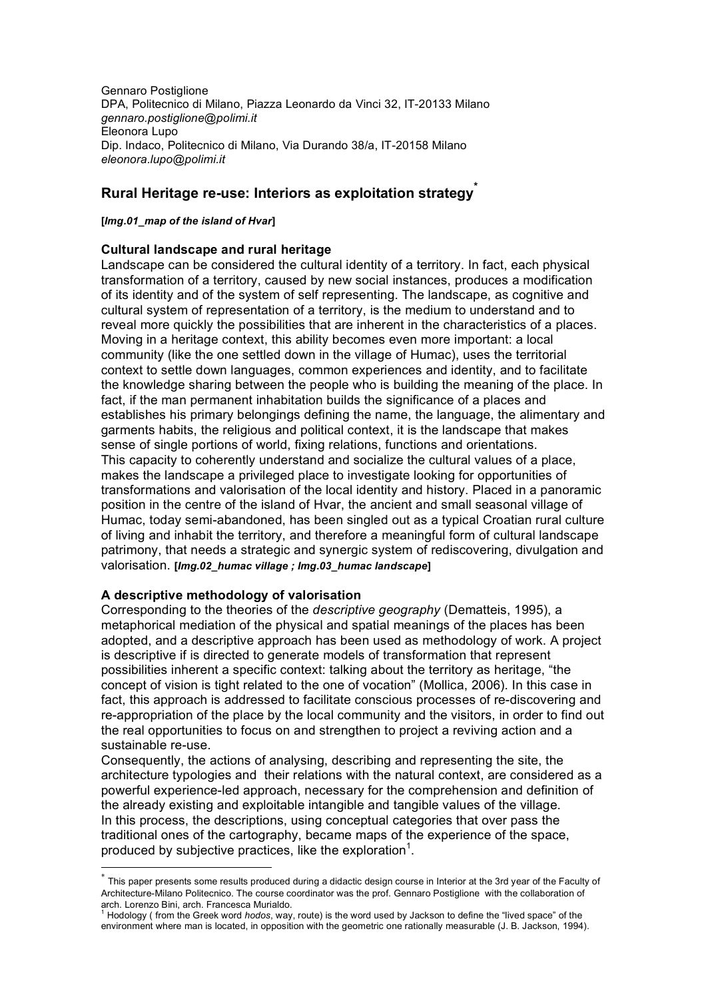Gennaro Postiglione DPA, Politecnico di Milano, Piazza Leonardo da Vinci 32, IT-20133 Milano *gennaro.postiglione@polimi.it* Eleonora Lupo Dip. Indaco, Politecnico di Milano, Via Durando 38/a, IT-20158 Milano *eleonora.lupo@polimi.it*

# **Rural Heritage re-use: Interiors as exploitation strategy\***

#### **[***Img.01\_map of the island of Hvar***]**

### **Cultural landscape and rural heritage**

Landscape can be considered the cultural identity of a territory. In fact, each physical transformation of a territory, caused by new social instances, produces a modification of its identity and of the system of self representing. The landscape, as cognitive and cultural system of representation of a territory, is the medium to understand and to reveal more quickly the possibilities that are inherent in the characteristics of a places. Moving in a heritage context, this ability becomes even more important: a local community (like the one settled down in the village of Humac), uses the territorial context to settle down languages, common experiences and identity, and to facilitate the knowledge sharing between the people who is building the meaning of the place. In fact, if the man permanent inhabitation builds the significance of a places and establishes his primary belongings defining the name, the language, the alimentary and garments habits, the religious and political context, it is the landscape that makes sense of single portions of world, fixing relations, functions and orientations. This capacity to coherently understand and socialize the cultural values of a place, makes the landscape a privileged place to investigate looking for opportunities of transformations and valorisation of the local identity and history. Placed in a panoramic position in the centre of the island of Hvar, the ancient and small seasonal village of Humac, today semi-abandoned, has been singled out as a typical Croatian rural culture of living and inhabit the territory, and therefore a meaningful form of cultural landscape patrimony, that needs a strategic and synergic system of rediscovering, divulgation and valorisation. **[***Img.02\_humac village ; Img.03\_humac landscape***]**

### **A descriptive methodology of valorisation**

Corresponding to the theories of the *descriptive geography* (Dematteis, 1995), a metaphorical mediation of the physical and spatial meanings of the places has been adopted, and a descriptive approach has been used as methodology of work. A project is descriptive if is directed to generate models of transformation that represent possibilities inherent a specific context: talking about the territory as heritage, "the concept of vision is tight related to the one of vocation" (Mollica, 2006). In this case in fact, this approach is addressed to facilitate conscious processes of re-discovering and re-appropriation of the place by the local community and the visitors, in order to find out the real opportunities to focus on and strengthen to project a reviving action and a sustainable re-use.

Consequently, the actions of analysing, describing and representing the site, the architecture typologies and their relations with the natural context, are considered as a powerful experience-led approach, necessary for the comprehension and definition of the already existing and exploitable intangible and tangible values of the village. In this process, the descriptions, using conceptual categories that over pass the traditional ones of the cartography, became maps of the experience of the space, produced by subjective practices, like the exploration<sup>1</sup>.

This paper presents some results produced during a didactic design course in Interior at the 3rd year of the Faculty of Architecture-Milano Politecnico. The course coordinator was the prof. Gennaro Postiglione with the collaboration of

arch. Lorenzo Bini, arch. Francesca Murialdo.<br><sup>1</sup> Hodology ( from the Greek word *hodos*, way, route) is the word used by Jackson to define the "lived space" of the environment where man is located, in opposition with the geometric one rationally measurable (J. B. Jackson, 1994).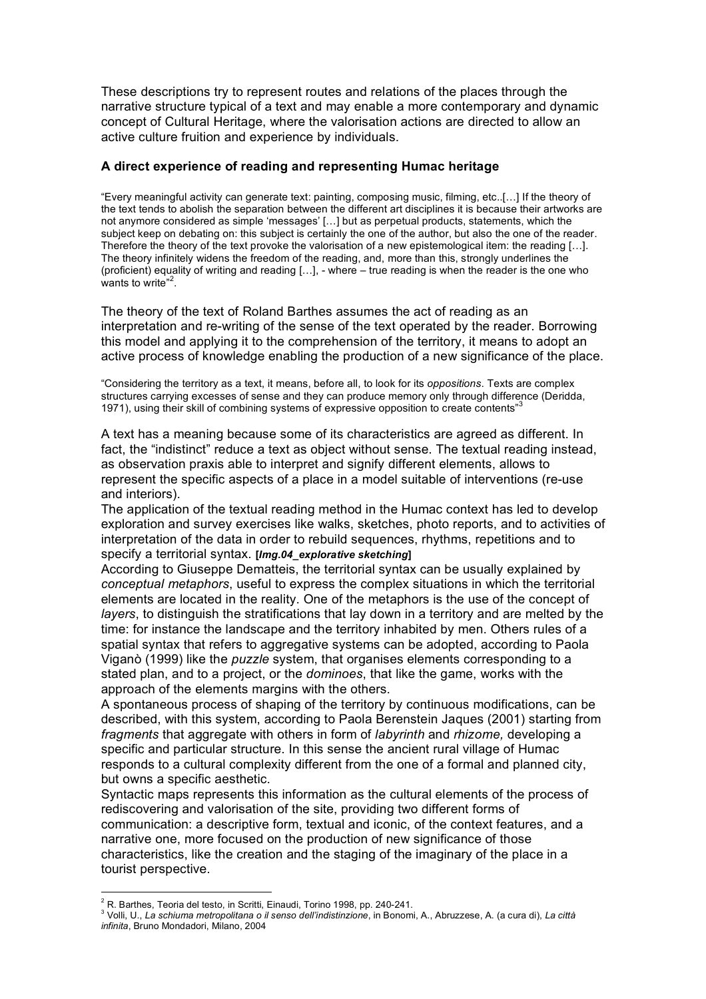These descriptions try to represent routes and relations of the places through the narrative structure typical of a text and may enable a more contemporary and dynamic concept of Cultural Heritage, where the valorisation actions are directed to allow an active culture fruition and experience by individuals.

### **A direct experience of reading and representing Humac heritage**

"Every meaningful activity can generate text: painting, composing music, filming, etc..[…] If the theory of the text tends to abolish the separation between the different art disciplines it is because their artworks are not anymore considered as simple 'messages' […] but as perpetual products, statements, which the subject keep on debating on: this subject is certainly the one of the author, but also the one of the reader. Therefore the theory of the text provoke the valorisation of a new epistemological item: the reading […]. The theory infinitely widens the freedom of the reading, and, more than this, strongly underlines the (proficient) equality of writing and reading […], - where – true reading is when the reader is the one who wants to write"<sup>2</sup>.

The theory of the text of Roland Barthes assumes the act of reading as an interpretation and re-writing of the sense of the text operated by the reader. Borrowing this model and applying it to the comprehension of the territory, it means to adopt an active process of knowledge enabling the production of a new significance of the place.

"Considering the territory as a text, it means, before all, to look for its *oppositions*. Texts are complex structures carrying excesses of sense and they can produce memory only through difference (Deridda, 1971), using their skill of combining systems of expressive opposition to create contents<sup>33</sup>

A text has a meaning because some of its characteristics are agreed as different. In fact, the "indistinct" reduce a text as object without sense. The textual reading instead, as observation praxis able to interpret and signify different elements, allows to represent the specific aspects of a place in a model suitable of interventions (re-use and interiors).

The application of the textual reading method in the Humac context has led to develop exploration and survey exercises like walks, sketches, photo reports, and to activities of interpretation of the data in order to rebuild sequences, rhythms, repetitions and to specify a territorial syntax. **[***Img.04\_explorative sketching***]**

According to Giuseppe Dematteis, the territorial syntax can be usually explained by *conceptual metaphors*, useful to express the complex situations in which the territorial elements are located in the reality. One of the metaphors is the use of the concept of *layers*, to distinguish the stratifications that lay down in a territory and are melted by the time: for instance the landscape and the territory inhabited by men. Others rules of a spatial syntax that refers to aggregative systems can be adopted, according to Paola Viganò (1999) like the *puzzle* system, that organises elements corresponding to a stated plan, and to a project, or the *dominoes*, that like the game, works with the approach of the elements margins with the others.

A spontaneous process of shaping of the territory by continuous modifications, can be described, with this system, according to Paola Berenstein Jaques (2001) starting from *fragments* that aggregate with others in form of *labyrinth* and *rhizome,* developing a specific and particular structure. In this sense the ancient rural village of Humac responds to a cultural complexity different from the one of a formal and planned city, but owns a specific aesthetic.

Syntactic maps represents this information as the cultural elements of the process of rediscovering and valorisation of the site, providing two different forms of communication: a descriptive form, textual and iconic, of the context features, and a narrative one, more focused on the production of new significance of those characteristics, like the creation and the staging of the imaginary of the place in a tourist perspective.

<sup>&</sup>lt;sup>2</sup> R Barthes Teoria del testo in Scritti Finaudi Torino 1998 pp. 240-241

a Colli, U., La schiuma metropolitana o il senso dell'indistinzione, in Bonomi, A., Abruzzese, A. (a cura di), La città *infinita*, Bruno Mondadori, Milano, 2004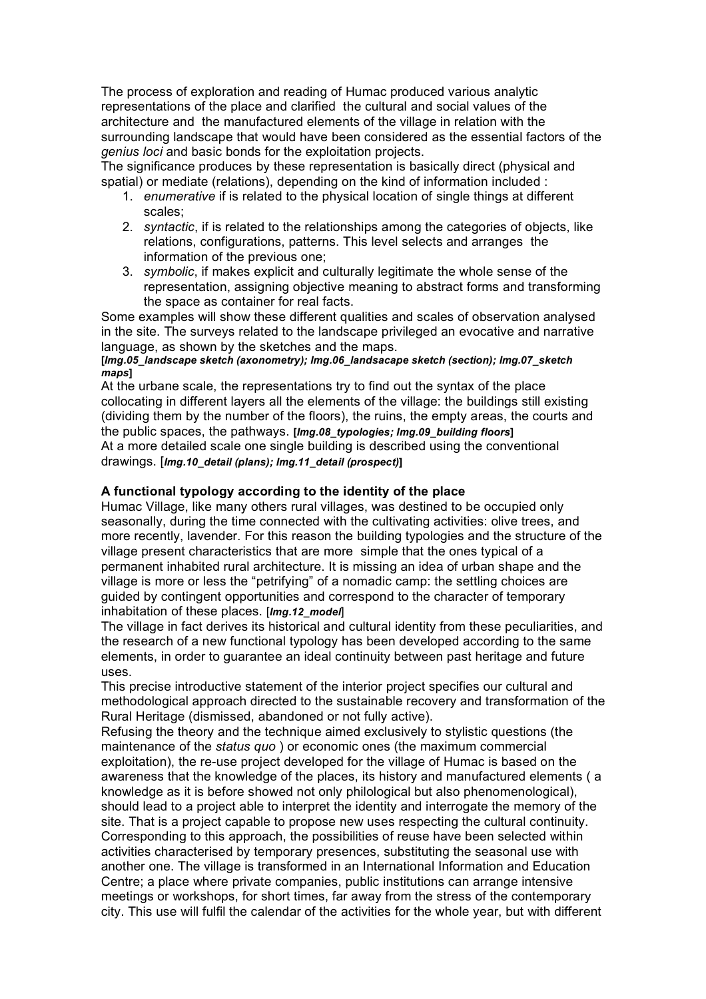The process of exploration and reading of Humac produced various analytic representations of the place and clarified the cultural and social values of the architecture and the manufactured elements of the village in relation with the surrounding landscape that would have been considered as the essential factors of the *genius loci* and basic bonds for the exploitation projects.

The significance produces by these representation is basically direct (physical and spatial) or mediate (relations), depending on the kind of information included :

- 1. *enumerative* if is related to the physical location of single things at different scales;
- 2. *syntactic*, if is related to the relationships among the categories of objects, like relations, configurations, patterns. This level selects and arranges the information of the previous one;
- 3. *symbolic*, if makes explicit and culturally legitimate the whole sense of the representation, assigning objective meaning to abstract forms and transforming the space as container for real facts.

Some examples will show these different qualities and scales of observation analysed in the site. The surveys related to the landscape privileged an evocative and narrative language, as shown by the sketches and the maps.

#### **[***Img.05\_landscape sketch (axonometry); Img.06\_landsacape sketch (section); Img.07\_sketch maps***]**

At the urbane scale, the representations try to find out the syntax of the place collocating in different layers all the elements of the village: the buildings still existing (dividing them by the number of the floors), the ruins, the empty areas, the courts and the public spaces, the pathways. **[***Img.08\_typologies; Img.09\_building floors***]** At a more detailed scale one single building is described using the conventional drawings. [*Img.10\_detail (plans); Img.11\_detail (prospect)***]**

## **A functional typology according to the identity of the place**

Humac Village, like many others rural villages, was destined to be occupied only seasonally, during the time connected with the cultivating activities: olive trees, and more recently, lavender. For this reason the building typologies and the structure of the village present characteristics that are more simple that the ones typical of a permanent inhabited rural architecture. It is missing an idea of urban shape and the village is more or less the "petrifying" of a nomadic camp: the settling choices are guided by contingent opportunities and correspond to the character of temporary inhabitation of these places. [*Img.12\_model*]

The village in fact derives its historical and cultural identity from these peculiarities, and the research of a new functional typology has been developed according to the same elements, in order to guarantee an ideal continuity between past heritage and future uses.

This precise introductive statement of the interior project specifies our cultural and methodological approach directed to the sustainable recovery and transformation of the Rural Heritage (dismissed, abandoned or not fully active).

Refusing the theory and the technique aimed exclusively to stylistic questions (the maintenance of the *status quo* ) or economic ones (the maximum commercial exploitation), the re-use project developed for the village of Humac is based on the awareness that the knowledge of the places, its history and manufactured elements ( a knowledge as it is before showed not only philological but also phenomenological), should lead to a project able to interpret the identity and interrogate the memory of the site. That is a project capable to propose new uses respecting the cultural continuity. Corresponding to this approach, the possibilities of reuse have been selected within activities characterised by temporary presences, substituting the seasonal use with another one. The village is transformed in an International Information and Education Centre; a place where private companies, public institutions can arrange intensive meetings or workshops, for short times, far away from the stress of the contemporary city. This use will fulfil the calendar of the activities for the whole year, but with different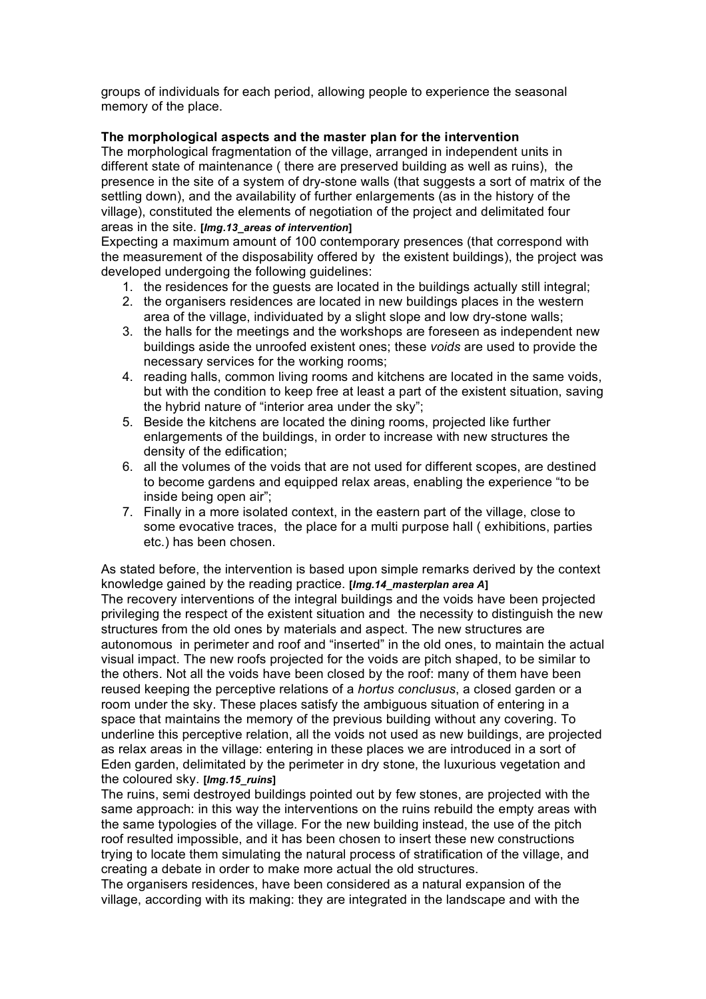groups of individuals for each period, allowing people to experience the seasonal memory of the place.

### **The morphological aspects and the master plan for the intervention**

The morphological fragmentation of the village, arranged in independent units in different state of maintenance ( there are preserved building as well as ruins), the presence in the site of a system of dry-stone walls (that suggests a sort of matrix of the settling down), and the availability of further enlargements (as in the history of the village), constituted the elements of negotiation of the project and delimitated four areas in the site. **[***Img.13\_areas of intervention***]**

Expecting a maximum amount of 100 contemporary presences (that correspond with the measurement of the disposability offered by the existent buildings), the project was developed undergoing the following guidelines:

- 1. the residences for the guests are located in the buildings actually still integral;
- 2. the organisers residences are located in new buildings places in the western area of the village, individuated by a slight slope and low dry-stone walls;
- 3. the halls for the meetings and the workshops are foreseen as independent new buildings aside the unroofed existent ones; these *voids* are used to provide the necessary services for the working rooms;
- 4. reading halls, common living rooms and kitchens are located in the same voids, but with the condition to keep free at least a part of the existent situation, saving the hybrid nature of "interior area under the sky";
- 5. Beside the kitchens are located the dining rooms, projected like further enlargements of the buildings, in order to increase with new structures the density of the edification;
- 6. all the volumes of the voids that are not used for different scopes, are destined to become gardens and equipped relax areas, enabling the experience "to be inside being open air";
- 7. Finally in a more isolated context, in the eastern part of the village, close to some evocative traces, the place for a multi purpose hall ( exhibitions, parties etc.) has been chosen.

As stated before, the intervention is based upon simple remarks derived by the context knowledge gained by the reading practice. **[***Img.14\_masterplan area A***]** The recovery interventions of the integral buildings and the voids have been projected privileging the respect of the existent situation and the necessity to distinguish the new structures from the old ones by materials and aspect. The new structures are autonomous in perimeter and roof and "inserted" in the old ones, to maintain the actual visual impact. The new roofs projected for the voids are pitch shaped, to be similar to the others. Not all the voids have been closed by the roof: many of them have been reused keeping the perceptive relations of a *hortus conclusus*, a closed garden or a room under the sky. These places satisfy the ambiguous situation of entering in a space that maintains the memory of the previous building without any covering. To underline this perceptive relation, all the voids not used as new buildings, are projected as relax areas in the village: entering in these places we are introduced in a sort of Eden garden, delimitated by the perimeter in dry stone, the luxurious vegetation and the coloured sky. **[***Img.15\_ruins***]**

The ruins, semi destroyed buildings pointed out by few stones, are projected with the same approach: in this way the interventions on the ruins rebuild the empty areas with the same typologies of the village. For the new building instead, the use of the pitch roof resulted impossible, and it has been chosen to insert these new constructions trying to locate them simulating the natural process of stratification of the village, and creating a debate in order to make more actual the old structures.

The organisers residences, have been considered as a natural expansion of the village, according with its making: they are integrated in the landscape and with the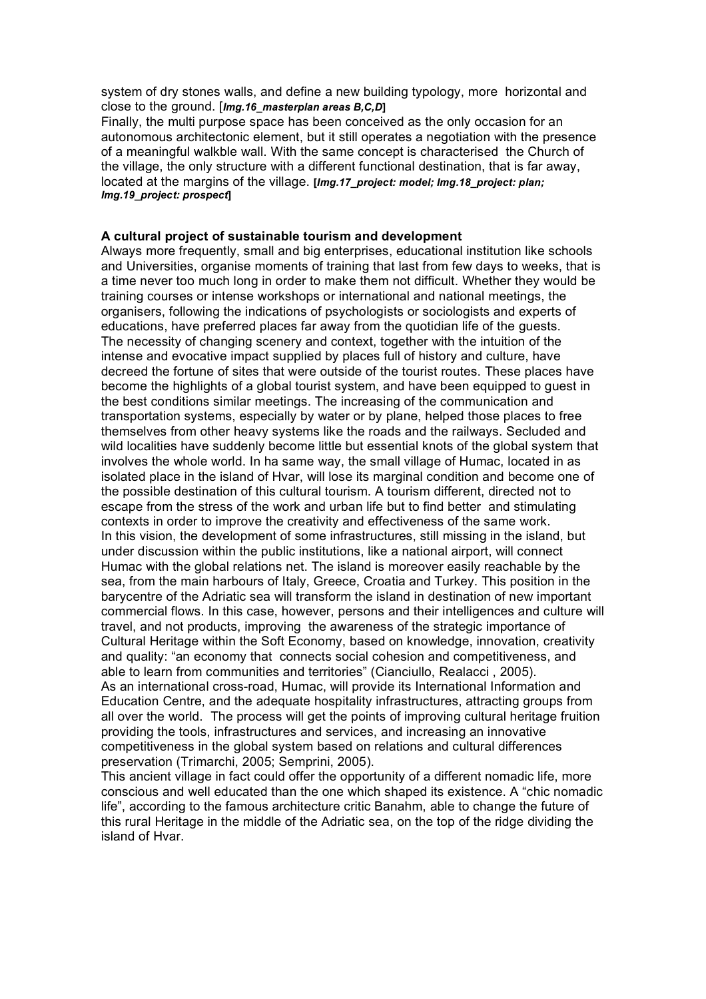system of dry stones walls, and define a new building typology, more horizontal and close to the ground. [*Img.16\_masterplan areas B,C,D***]**

Finally, the multi purpose space has been conceived as the only occasion for an autonomous architectonic element, but it still operates a negotiation with the presence of a meaningful walkble wall. With the same concept is characterised the Church of the village, the only structure with a different functional destination, that is far away, located at the margins of the village. **[***Img.17\_project: model; Img.18\_project: plan; Img.19\_project: prospect***]**

#### **A cultural project of sustainable tourism and development**

Always more frequently, small and big enterprises, educational institution like schools and Universities, organise moments of training that last from few days to weeks, that is a time never too much long in order to make them not difficult. Whether they would be training courses or intense workshops or international and national meetings, the organisers, following the indications of psychologists or sociologists and experts of educations, have preferred places far away from the quotidian life of the guests. The necessity of changing scenery and context, together with the intuition of the intense and evocative impact supplied by places full of history and culture, have decreed the fortune of sites that were outside of the tourist routes. These places have become the highlights of a global tourist system, and have been equipped to guest in the best conditions similar meetings. The increasing of the communication and transportation systems, especially by water or by plane, helped those places to free themselves from other heavy systems like the roads and the railways. Secluded and wild localities have suddenly become little but essential knots of the global system that involves the whole world. In ha same way, the small village of Humac, located in as isolated place in the island of Hvar, will lose its marginal condition and become one of the possible destination of this cultural tourism. A tourism different, directed not to escape from the stress of the work and urban life but to find better and stimulating contexts in order to improve the creativity and effectiveness of the same work. In this vision, the development of some infrastructures, still missing in the island, but under discussion within the public institutions, like a national airport, will connect Humac with the global relations net. The island is moreover easily reachable by the sea, from the main harbours of Italy, Greece, Croatia and Turkey. This position in the barycentre of the Adriatic sea will transform the island in destination of new important commercial flows. In this case, however, persons and their intelligences and culture will travel, and not products, improving the awareness of the strategic importance of Cultural Heritage within the Soft Economy, based on knowledge, innovation, creativity and quality: "an economy that connects social cohesion and competitiveness, and able to learn from communities and territories" (Cianciullo, Realacci , 2005). As an international cross-road, Humac, will provide its International Information and Education Centre, and the adequate hospitality infrastructures, attracting groups from all over the world. The process will get the points of improving cultural heritage fruition providing the tools, infrastructures and services, and increasing an innovative competitiveness in the global system based on relations and cultural differences preservation (Trimarchi, 2005; Semprini, 2005).

This ancient village in fact could offer the opportunity of a different nomadic life, more conscious and well educated than the one which shaped its existence. A "chic nomadic life", according to the famous architecture critic Banahm, able to change the future of this rural Heritage in the middle of the Adriatic sea, on the top of the ridge dividing the island of Hvar.